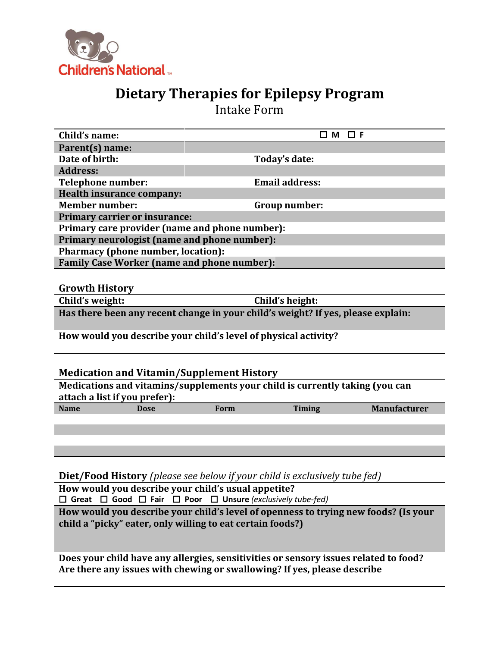

## **Dietary Therapies for Epilepsy Program**

Intake Form

| Child's name:                                                                    |      | $\square$ M $\square$ F |                     |
|----------------------------------------------------------------------------------|------|-------------------------|---------------------|
| Parent(s) name:                                                                  |      |                         |                     |
| Date of birth:                                                                   |      | Today's date:           |                     |
| <b>Address:</b>                                                                  |      |                         |                     |
| <b>Telephone number:</b>                                                         |      | <b>Email address:</b>   |                     |
| <b>Health insurance company:</b>                                                 |      |                         |                     |
| <b>Member number:</b>                                                            |      | Group number:           |                     |
| <b>Primary carrier or insurance:</b>                                             |      |                         |                     |
| Primary care provider (name and phone number):                                   |      |                         |                     |
| Primary neurologist (name and phone number):                                     |      |                         |                     |
| <b>Pharmacy (phone number, location):</b>                                        |      |                         |                     |
| <b>Family Case Worker (name and phone number):</b>                               |      |                         |                     |
| <b>Growth History</b>                                                            |      |                         |                     |
| Child's weight:                                                                  |      | Child's height:         |                     |
| Has there been any recent change in your child's weight? If yes, please explain: |      |                         |                     |
| How would you describe your child's level of physical activity?                  |      |                         |                     |
| <b>Medication and Vitamin/Supplement History</b>                                 |      |                         |                     |
| Medications and vitamins/supplements your child is currently taking (you can     |      |                         |                     |
| attach a list if you prefer):                                                    |      |                         |                     |
| <b>Name</b><br><b>Dose</b>                                                       | Form | Timing                  | <b>Manufacturer</b> |
|                                                                                  |      |                         |                     |
|                                                                                  |      |                         |                     |
|                                                                                  |      |                         |                     |
|                                                                                  |      |                         |                     |
|                                                                                  |      |                         |                     |

**Diet/Food History** *(please see below if your child is exclusively tube fed)*

**How would you describe your child's usual appetite? Great Good Fair Poor Unsure** *(exclusively tube-fed)*

**How would you describe your child's level of openness to trying new foods? (Is your child a "picky" eater, only willing to eat certain foods?)**

**Does your child have any allergies, sensitivities or sensory issues related to food? Are there any issues with chewing or swallowing? If yes, please describe**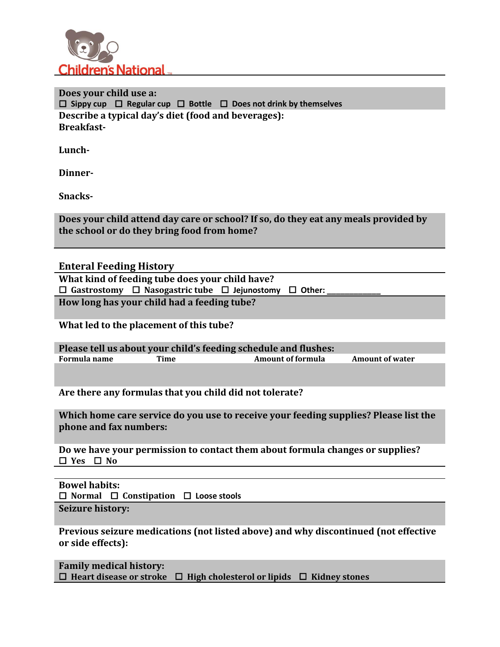

**Does your child use a: Sippy cup Regular cup Bottle Does not drink by themselves Describe a typical day's diet (food and beverages): Breakfast-**

**Lunch-**

**Dinner-**

**Snacks-**

**Does your child attend day care or school? If so, do they eat any meals provided by the school or do they bring food from home?**

## **Enteral Feeding History**

**What kind of feeding tube does your child have? Gastrostomy Nasogastric tube Jejunostomy Other: \_\_\_\_\_\_\_\_\_\_\_\_**

**How long has your child had a feeding tube?**

**What led to the placement of this tube?**

**Please tell us about your child's feeding schedule and flushes: Formula name Time Amount of formula Amount of water**

**Are there any formulas that you child did not tolerate?**

**Which home care service do you use to receive your feeding supplies? Please list the phone and fax numbers:**

**Do we have your permission to contact them about formula changes or supplies?**  $\Box$  **Yes**  $\Box$  **No** 

**Bowel habits:**  $\Box$  **Normal**  $\Box$  **Constipation**  $\Box$  **Loose stools** 

**Seizure history:**

**Previous seizure medications (not listed above) and why discontinued (not effective or side effects):**

**Family medical history:**  $\Box$  **Heart disease or stroke**  $\Box$  **High cholesterol or lipids**  $\Box$  **Kidney stones**